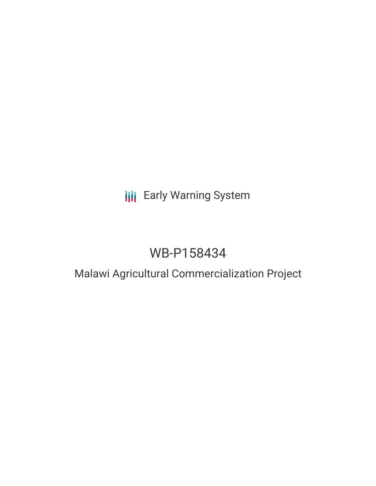## **III** Early Warning System

# WB-P158434

### Malawi Agricultural Commercialization Project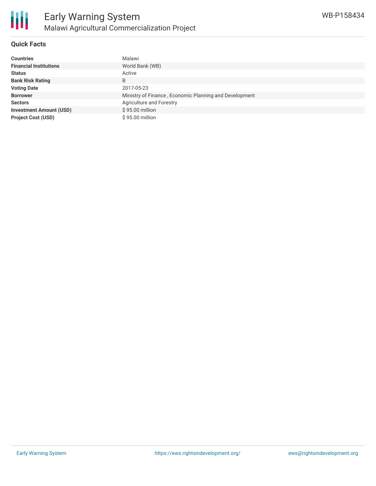

#### **Quick Facts**

冊

| <b>Countries</b>               | Malawi                                                 |
|--------------------------------|--------------------------------------------------------|
| <b>Financial Institutions</b>  | World Bank (WB)                                        |
| <b>Status</b>                  | Active                                                 |
| <b>Bank Risk Rating</b>        | B                                                      |
| <b>Voting Date</b>             | 2017-05-23                                             |
| <b>Borrower</b>                | Ministry of Finance, Economic Planning and Development |
| <b>Sectors</b>                 | Agriculture and Forestry                               |
| <b>Investment Amount (USD)</b> | \$95.00 million                                        |
| <b>Project Cost (USD)</b>      | \$95.00 million                                        |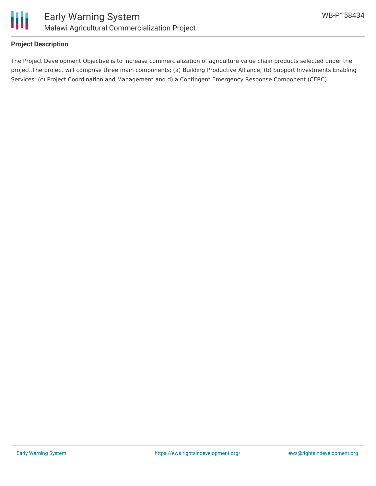

#### **Project Description**

The Project Development Objective is to increase commercialization of agriculture value chain products selected under the project.The project will comprise three main components; (a) Building Productive Alliance; (b) Support Investments Enabling Services; (c) Project Coordination and Management and d) a Contingent Emergency Response Component (CERC).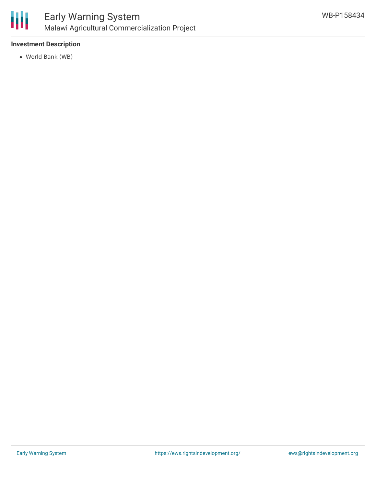

#### **Investment Description**

World Bank (WB)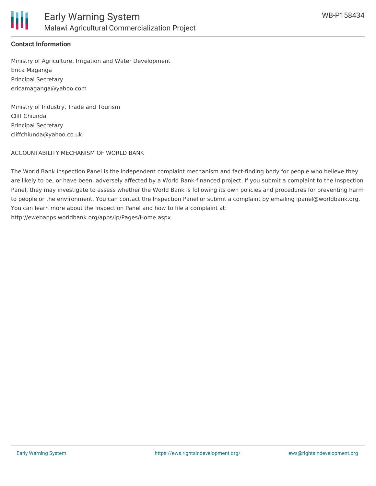

#### **Contact Information**

Ministry of Agriculture, Irrigation and Water Development Erica Maganga Principal Secretary ericamaganga@yahoo.com

Ministry of Industry, Trade and Tourism Cliff Chiunda Principal Secretary cliffchiunda@yahoo.co.uk

ACCOUNTABILITY MECHANISM OF WORLD BANK

The World Bank Inspection Panel is the independent complaint mechanism and fact-finding body for people who believe they are likely to be, or have been, adversely affected by a World Bank-financed project. If you submit a complaint to the Inspection Panel, they may investigate to assess whether the World Bank is following its own policies and procedures for preventing harm to people or the environment. You can contact the Inspection Panel or submit a complaint by emailing ipanel@worldbank.org. You can learn more about the Inspection Panel and how to file a complaint at: http://ewebapps.worldbank.org/apps/ip/Pages/Home.aspx.